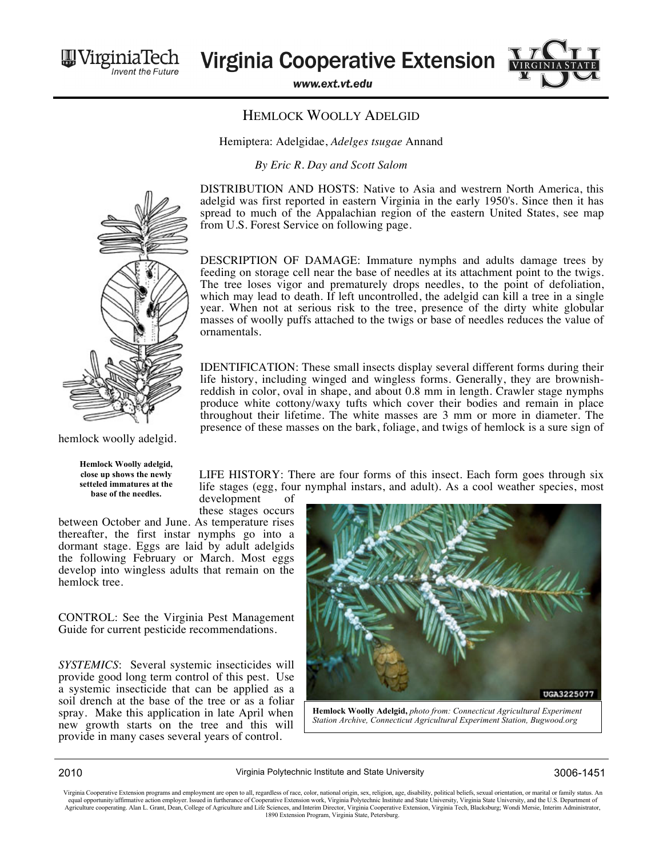Virginia le

**Virginia Cooperative Extension** 

www.ext.vt.edu

## HEMLOCK WOOLLY ADELGID

Hemiptera: Adelgidae, *Adelges tsugae* Annand

*By Eric R. Day and Scott Salom*

DISTRIBUTION AND HOSTS: Native to Asia and westrern North America, this adelgid was first reported in eastern Virginia in the early 1950's. Since then it has spread to much of the Appalachian region of the eastern United States, see map from U.S. Forest Service on following page.

DESCRIPTION OF DAMAGE: Immature nymphs and adults damage trees by feeding on storage cell near the base of needles at its attachment point to the twigs. The tree loses vigor and prematurely drops needles, to the point of defoliation, which may lead to death. If left uncontrolled, the adelgid can kill a tree in a single year. When not at serious risk to the tree, presence of the dirty white globular masses of woolly puffs attached to the twigs or base of needles reduces the value of ornamentals.

IDENTIFICATION: These small insects display several different forms during their life history, including winged and wingless forms. Generally, they are brownishreddish in color, oval in shape, and about 0.8 mm in length. Crawler stage nymphs produce white cottony/waxy tufts which cover their bodies and remain in place throughout their lifetime. The white masses are 3 mm or more in diameter. The presence of these masses on the bark, foliage, and twigs of hemlock is a sure sign of

LIFE HISTORY: There are four forms of this insect. Each form goes through six life stages (egg, four nymphal instars, and adult). As a cool weather species, most

development of these stages occurs

between October and June. As temperature rises thereafter, the first instar nymphs go into a dormant stage. Eggs are laid by adult adelgids the following February or March. Most eggs develop into wingless adults that remain on the hemlock tree.

CONTROL: See the Virginia Pest Management Guide for current pesticide recommendations.

*SYSTEMICS*: Several systemic insecticides will provide good long term control of this pest. Use a systemic insecticide that can be applied as a soil drench at the base of the tree or as a foliar spray. Make this application in late April when new growth starts on the tree and this will provide in many cases several years of control.



Virginia Cooperative Extension programs and employment are open to all, regardless of race, color, national origin, sex, religion, age, disability, political beliefs, sexual orientation, or marital or family status. An equ



**Hemlock Woolly adelgid, close up shows the newly setteled immatures at the base of the needles.** 



*Station Archive, Connecticut Agricultural Experiment Station, Bugwood.org*



2010 Virginia Polytechnic Institute and State University 3006-1451